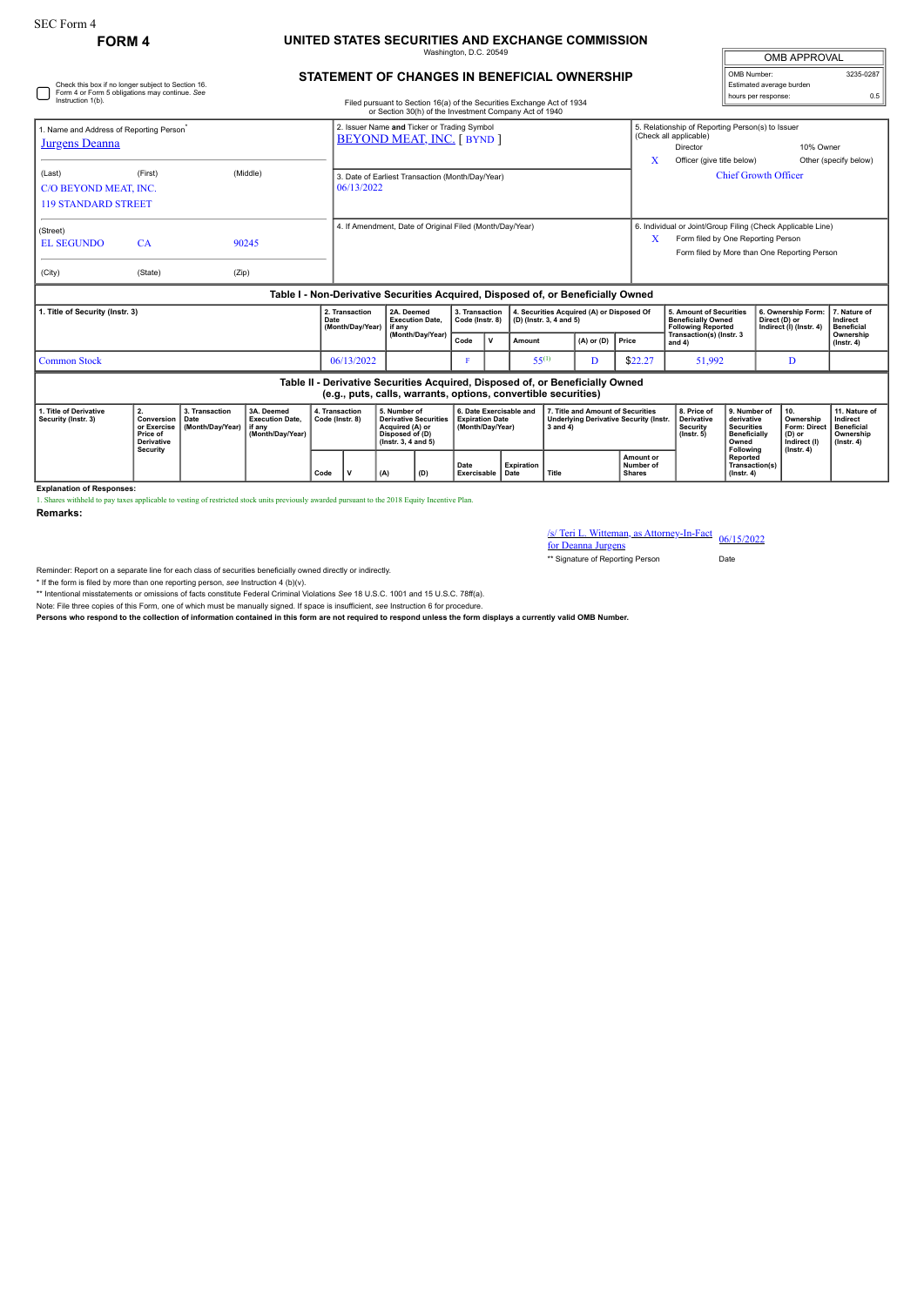## SEC Form 4

## **FORM 4 UNITED STATES SECURITIES AND EXCHANGE COMMISSION** Washington, D.C. 20549

**STATEMENT OF CHANGES IN BENEFICIAL OWNERSHIP**

| <b>OMB APPROVAL</b>      |           |  |  |  |  |  |  |  |
|--------------------------|-----------|--|--|--|--|--|--|--|
| OMB Number:              | 3235-0287 |  |  |  |  |  |  |  |
| Estimated average burden |           |  |  |  |  |  |  |  |
| hours per response:      |           |  |  |  |  |  |  |  |

| Check this box if no longer subject to Section 16.<br>Form 4 or Form 5 obligations may continue. See<br>Instruction 1(b).<br>Filed pursuant to Section 16(a) of the Securities Exchange Act of 1934<br>or Section 30(h) of the Investment Company Act of 1940 |                                                                                     |                                            |                                                                                  |      |                                                                                  |                      |                                                                                                                 |                                                  |                                                                       |                                                                      |                                                                                                     |                                                                               |                                                                                   |                                                                                                                                                   | Estimated average burden<br>hours per response:                                              | 0.5                                                                                   |                                                                                 |  |
|---------------------------------------------------------------------------------------------------------------------------------------------------------------------------------------------------------------------------------------------------------------|-------------------------------------------------------------------------------------|--------------------------------------------|----------------------------------------------------------------------------------|------|----------------------------------------------------------------------------------|----------------------|-----------------------------------------------------------------------------------------------------------------|--------------------------------------------------|-----------------------------------------------------------------------|----------------------------------------------------------------------|-----------------------------------------------------------------------------------------------------|-------------------------------------------------------------------------------|-----------------------------------------------------------------------------------|---------------------------------------------------------------------------------------------------------------------------------------------------|----------------------------------------------------------------------------------------------|---------------------------------------------------------------------------------------|---------------------------------------------------------------------------------|--|
| 1. Name and Address of Reporting Person <sup>®</sup><br><b>Jurgens Deanna</b>                                                                                                                                                                                 |                                                                                     |                                            |                                                                                  |      | 2. Issuer Name and Ticker or Trading Symbol<br><b>BEYOND MEAT, INC. [ BYND ]</b> |                      |                                                                                                                 |                                                  |                                                                       |                                                                      |                                                                                                     |                                                                               | X                                                                                 | (Check all applicable)<br>Director<br>Officer (give title below)                                                                                  | 5. Relationship of Reporting Person(s) to Issuer<br>10% Owner                                |                                                                                       | Other (specify below)                                                           |  |
| (Last)<br>C/O BEYOND MEAT. INC.<br><b>119 STANDARD STREET</b>                                                                                                                                                                                                 | (First)                                                                             |                                            | (Middle)                                                                         |      | 3. Date of Earliest Transaction (Month/Day/Year)<br>06/13/2022                   |                      |                                                                                                                 |                                                  |                                                                       |                                                                      |                                                                                                     |                                                                               |                                                                                   | <b>Chief Growth Officer</b>                                                                                                                       |                                                                                              |                                                                                       |                                                                                 |  |
| (Street)<br><b>EL SEGUNDO</b><br>(City)                                                                                                                                                                                                                       | CA<br>(State)                                                                       | (Zip)                                      | 90245                                                                            |      | 4. If Amendment, Date of Original Filed (Month/Day/Year)                         |                      |                                                                                                                 |                                                  |                                                                       |                                                                      |                                                                                                     |                                                                               | X                                                                                 | 6. Individual or Joint/Group Filing (Check Applicable Line)<br>Form filed by One Reporting Person<br>Form filed by More than One Reporting Person |                                                                                              |                                                                                       |                                                                                 |  |
|                                                                                                                                                                                                                                                               |                                                                                     |                                            | Table I - Non-Derivative Securities Acquired, Disposed of, or Beneficially Owned |      |                                                                                  |                      |                                                                                                                 |                                                  |                                                                       |                                                                      |                                                                                                     |                                                                               |                                                                                   |                                                                                                                                                   |                                                                                              |                                                                                       |                                                                                 |  |
| 1. Title of Security (Instr. 3)                                                                                                                                                                                                                               |                                                                                     |                                            |                                                                                  | Date | 2. Transaction<br>(Month/Day/Year)                                               | 2A. Deemed<br>if anv | <b>Execution Date.</b>                                                                                          | 3. Transaction<br>Code (Instr. 8)                |                                                                       | 4. Securities Acquired (A) or Disposed Of<br>(D) (Instr. 3, 4 and 5) |                                                                                                     |                                                                               | 5. Amount of Securities<br><b>Beneficially Owned</b><br><b>Following Reported</b> |                                                                                                                                                   | 6. Ownership Form:<br>Direct (D) or<br>Indirect (I) (Instr. 4)                               | 7. Nature of<br>Indirect<br><b>Beneficial</b>                                         |                                                                                 |  |
|                                                                                                                                                                                                                                                               |                                                                                     |                                            |                                                                                  |      |                                                                                  |                      | (Month/Day/Year)                                                                                                |                                                  | $\mathsf{v}$                                                          | Amount                                                               |                                                                                                     | $(A)$ or $(D)$                                                                | Price                                                                             | Transaction(s) (Instr. 3<br>and 4)                                                                                                                |                                                                                              |                                                                                       | Ownership<br>$($ lnstr. 4 $)$                                                   |  |
| <b>Common Stock</b>                                                                                                                                                                                                                                           |                                                                                     |                                            |                                                                                  |      | 06/13/2022                                                                       |                      |                                                                                                                 |                                                  | $55^{(1)}$                                                            |                                                                      | D                                                                                                   | \$22.27                                                                       | 51,992                                                                            |                                                                                                                                                   | D                                                                                            |                                                                                       |                                                                                 |  |
|                                                                                                                                                                                                                                                               |                                                                                     |                                            |                                                                                  |      |                                                                                  |                      | (e.g., puts, calls, warrants, options, convertible securities)                                                  |                                                  |                                                                       |                                                                      |                                                                                                     | Table II - Derivative Securities Acquired, Disposed of, or Beneficially Owned |                                                                                   |                                                                                                                                                   |                                                                                              |                                                                                       |                                                                                 |  |
| 1. Title of Derivative<br>Security (Instr. 3)                                                                                                                                                                                                                 | 2.<br>Conversion<br>or Exercise<br>Price of<br><b>Derivative</b><br><b>Security</b> | 3. Transaction<br>Date<br>(Month/Dav/Year) | 3A. Deemed<br><b>Execution Date.</b><br>if any<br>(Month/Dav/Year)               |      | 4. Transaction<br>Code (Instr. 8)                                                |                      | 5. Number of<br><b>Derivative Securities</b><br>Acquired (A) or<br>Disposed of (D)<br>$($ lnstr. 3, 4 and 5 $)$ |                                                  | 6. Date Exercisable and<br><b>Expiration Date</b><br>(Month/Dav/Year) |                                                                      | 7. Title and Amount of Securities<br><b>Underlying Derivative Security (Instr.</b><br>$3$ and $4$ ) |                                                                               |                                                                                   | 8. Price of<br><b>Derivative</b><br><b>Security</b><br>$($ lnstr. 5 $)$                                                                           | 9. Number of<br>derivative<br><b>Securities</b><br><b>Beneficially</b><br>Owned<br>Following | 10.<br>Ownership<br><b>Form: Direct</b><br>(D) or<br>Indirect (I)<br>$($ lnstr. 4 $)$ | 11. Nature of<br>Indirect<br><b>Beneficial</b><br>Ownership<br>$($ lnstr. 4 $)$ |  |
|                                                                                                                                                                                                                                                               |                                                                                     |                                            |                                                                                  |      | $\mathbf{v}$<br>(D)<br>Code<br>(A)                                               |                      |                                                                                                                 | Date<br><b>Expiration</b><br>Exercisable<br>Date |                                                                       | <b>Title</b>                                                         |                                                                                                     | Amount or<br>Number of<br><b>Shares</b>                                       |                                                                                   | <b>Reported</b><br>$($ Instr. 4 $)$                                                                                                               | Transaction(s)                                                                               |                                                                                       |                                                                                 |  |

**Explanation of Responses:**

1. Shares withheld to pay taxes applicable to vesting of restricted stock units previously awarded pursuant to the 2018 Equity Incentive Plan.

**Remarks:**

/s/ Teri L. Witteman, as Attorney-In-Fact 06/15/2022

for Deanna Jurgens \*\* Signature of Reporting Person Date

Reminder: Report on a separate line for each class of securities beneficially owned directly or indirectly.

\* If the form is filed by more than one reporting person, *see* Instruction 4 (b)(v).

\*\* Intentional misstatements or omissions of facts constitute Federal Criminal Violations *See* 18 U.S.C. 1001 and 15 U.S.C. 78ff(a).

Note: File three copies of this Form, one of which must be manually signed. If space is insufficient, *see* Instruction 6 for procedure.

**Persons who respond to the collection of information contained in this form are not required to respond unless the form displays a currently valid OMB Number.**